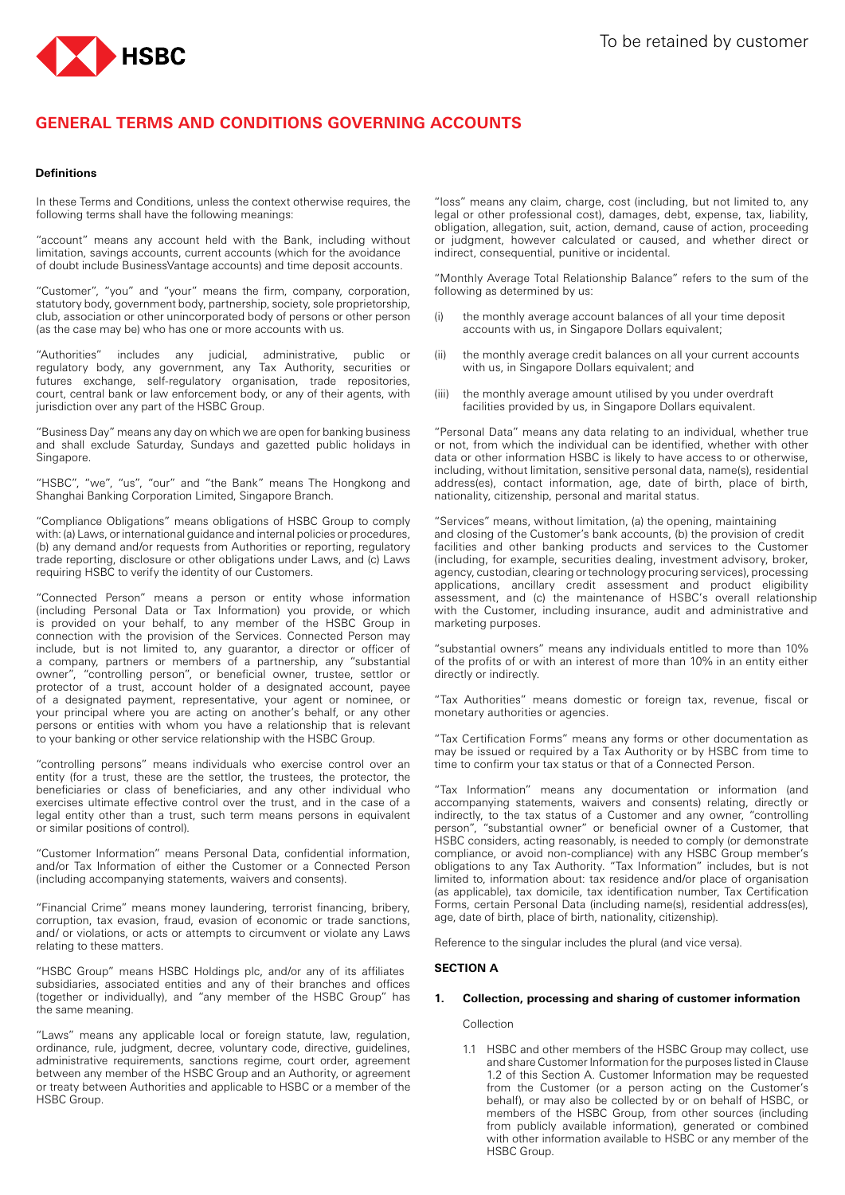

# **GENERAL TERMS AND CONDITIONS GOVERNING ACCOUNTS**

## **Definitions**

In these Terms and Conditions, unless the context otherwise requires, the following terms shall have the following meanings:

"account" means any account held with the Bank, including without limitation, savings accounts, current accounts (which for the avoidance of doubt include BusinessVantage accounts) and time deposit accounts.

"Customer", "you" and "your" means the firm, company, corporation, statutory body, government body, partnership, society, sole proprietorship, club, association or other unincorporated body of persons or other person (as the case may be) who has one or more accounts with us.

"Authorities" includes any judicial, administrative, public or regulatory body, any government, any Tax Authority, securities or futures exchange, self-regulatory organisation, trade repositories, court, central bank or law enforcement body, or any of their agents, with jurisdiction over any part of the HSBC Group.

"Business Day" means any day on which we are open for banking business and shall exclude Saturday, Sundays and gazetted public holidays in Singapore.

"HSBC", "we", "us", "our" and "the Bank" means The Hongkong and Shanghai Banking Corporation Limited, Singapore Branch.

"Compliance Obligations" means obligations of HSBC Group to comply with: (a) Laws, or international guidance and internal policies or procedures, (b) any demand and/or requests from Authorities or reporting, regulatory trade reporting, disclosure or other obligations under Laws, and (c) Laws requiring HSBC to verify the identity of our Customers.

"Connected Person" means a person or entity whose information (including Personal Data or Tax Information) you provide, or which is provided on your behalf, to any member of the HSBC Group in connection with the provision of the Services. Connected Person may include, but is not limited to, any guarantor, a director or officer of a company, partners or members of a partnership, any "substantial owner", "controlling person", or beneficial owner, trustee, settlor or protector of a trust, account holder of a designated account, payee of a designated payment, representative, your agent or nominee, or your principal where you are acting on another's behalf, or any other persons or entities with whom you have a relationship that is relevant to your banking or other service relationship with the HSBC Group.

"controlling persons" means individuals who exercise control over an entity (for a trust, these are the settlor, the trustees, the protector, the beneficiaries or class of beneficiaries, and any other individual who exercises ultimate effective control over the trust, and in the case of a legal entity other than a trust, such term means persons in equivalent or similar positions of control).

"Customer Information" means Personal Data, confidential information, and/or Tax Information of either the Customer or a Connected Person (including accompanying statements, waivers and consents).

"Financial Crime" means money laundering, terrorist financing, bribery, corruption, tax evasion, fraud, evasion of economic or trade sanctions, and/ or violations, or acts or attempts to circumvent or violate any Laws relating to these matters.

"HSBC Group" means HSBC Holdings plc, and/or any of its affiliates subsidiaries, associated entities and any of their branches and offices (together or individually), and "any member of the HSBC Group" has the same meaning.

"Laws" means any applicable local or foreign statute, law, regulation, ordinance, rule, judgment, decree, voluntary code, directive, guidelines, administrative requirements, sanctions regime, court order, agreement between any member of the HSBC Group and an Authority, or agreement or treaty between Authorities and applicable to HSBC or a member of the HSBC Group.

"loss" means any claim, charge, cost (including, but not limited to, any legal or other professional cost), damages, debt, expense, tax, liability, obligation, allegation, suit, action, demand, cause of action, proceeding or judgment, however calculated or caused, and whether direct or indirect, consequential, punitive or incidental.

"Monthly Average Total Relationship Balance" refers to the sum of the following as determined by us:

- the monthly average account balances of all your time deposit accounts with us, in Singapore Dollars equivalent;
- (ii) the monthly average credit balances on all your current accounts with us, in Singapore Dollars equivalent; and
- (iii) the monthly average amount utilised by you under overdraft facilities provided by us, in Singapore Dollars equivalent.

"Personal Data" means any data relating to an individual, whether true or not, from which the individual can be identified, whether with other data or other information HSBC is likely to have access to or otherwise, including, without limitation, sensitive personal data, name(s), residential address(es), contact information, age, date of birth, place of birth, nationality, citizenship, personal and marital status.

"Services" means, without limitation, (a) the opening, maintaining and closing of the Customer's bank accounts, (b) the provision of credit facilities and other banking products and services to the Customer (including, for example, securities dealing, investment advisory, broker, agency, custodian, clearing or technology procuring services), processing applications, ancillary credit assessment and product eligibility assessment, and (c) the maintenance of HSBC's overall relationship with the Customer, including insurance, audit and administrative and marketing purposes.

"substantial owners" means any individuals entitled to more than 10% of the profits of or with an interest of more than 10% in an entity either directly or indirectly.

"Tax Authorities" means domestic or foreign tax, revenue, fiscal or monetary authorities or agencies.

"Tax Certification Forms" means any forms or other documentation as may be issued or required by a Tax Authority or by HSBC from time to time to confirm your tax status or that of a Connected Person.

"Tax Information" means any documentation or information (and accompanying statements, waivers and consents) relating, directly or indirectly, to the tax status of a Customer and any owner, "controlling person", "substantial owner" or beneficial owner of a Customer, that HSBC considers, acting reasonably, is needed to comply (or demonstrate compliance, or avoid non-compliance) with any HSBC Group member's obligations to any Tax Authority. "Tax Information" includes, but is not limited to, information about: tax residence and/or place of organisation (as applicable), tax domicile, tax identification number, Tax Certification Forms, certain Personal Data (including name(s), residential address(es), age, date of birth, place of birth, nationality, citizenship).

Reference to the singular includes the plural (and vice versa).

## **SECTION A**

## **1. Collection, processing and sharing of customer information**

Collection

1.1 HSBC and other members of the HSBC Group may collect, use and share Customer Information for the purposes listed in Clause 1.2 of this Section A. Customer Information may be requested from the Customer (or a person acting on the Customer's behalf), or may also be collected by or on behalf of HSBC, or members of the HSBC Group, from other sources (including from publicly available information), generated or combined with other information available to HSBC or any member of the HSBC Group.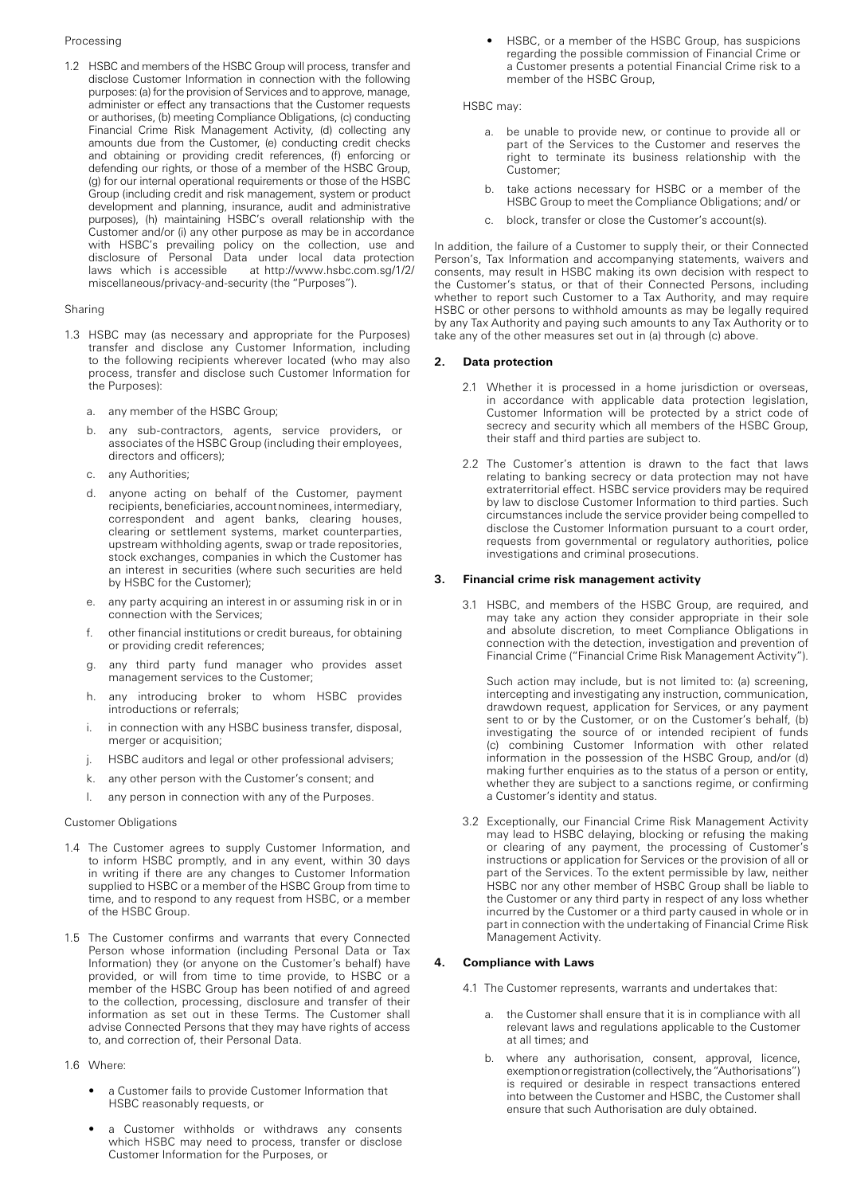## Processing

1.2 HSBC and members of the HSBC Group will process, transfer and disclose Customer Information in connection with the following purposes: (a) for the provision of Services and to approve, manage, administer or effect any transactions that the Customer requests or authorises, (b) meeting Compliance Obligations, (c) conducting Financial Crime Risk Management Activity, (d) collecting any amounts due from the Customer, (e) conducting credit checks and obtaining or providing credit references, (f) enforcing or defending our rights, or those of a member of the HSBC Group, (g) for our internal operational requirements or those of the HSBC Group (including credit and risk management, system or product development and planning, insurance, audit and administrative purposes), (h) maintaining HSBC's overall relationship with the Customer and/or (i) any other purpose as may be in accordance with HSBC's prevailing policy on the collection, use and disclosure of Personal Data under local data protection<br>laws which is accessible at http://www.hsbc.com.sg/1/2/ at http://www.hsbc.com.sg/1/2/ miscellaneous/privacy-and-security (the "Purposes").

#### Sharing

- 1.3 HSBC may (as necessary and appropriate for the Purposes) transfer and disclose any Customer Information, including to the following recipients wherever located (who may also process, transfer and disclose such Customer Information for the Purposes):
	- a. any member of the HSBC Group;
	- b. any sub-contractors, agents, service providers, or associates of the HSBC Group (including their employees, directors and officers);
	- c. any Authorities;
	- d. anyone acting on behalf of the Customer, payment recipients, beneficiaries, account nominees, intermediary, correspondent and agent banks, clearing houses, clearing or settlement systems, market counterparties, upstream withholding agents, swap or trade repositories, stock exchanges, companies in which the Customer has an interest in securities (where such securities are held by HSBC for the Customer);
	- e. any party acquiring an interest in or assuming risk in or in connection with the Services;
	- f. other financial institutions or credit bureaus, for obtaining or providing credit references;
	- g. any third party fund manager who provides asset management services to the Customer;
	- h. any introducing broker to whom HSBC provides introductions or referrals;
	- i. in connection with any HSBC business transfer, disposal, merger or acquisition;
	- j. HSBC auditors and legal or other professional advisers;
	- k. any other person with the Customer's consent; and
	- l. any person in connection with any of the Purposes.

#### Customer Obligations

- 1.4 The Customer agrees to supply Customer Information, and to inform HSBC promptly, and in any event, within 30 days in writing if there are any changes to Customer Information supplied to HSBC or a member of the HSBC Group from time to time, and to respond to any request from HSBC, or a member of the HSBC Group.
- 1.5 The Customer confirms and warrants that every Connected Person whose information (including Personal Data or Tax Information) they (or anyone on the Customer's behalf) have provided, or will from time to time provide, to HSBC or a member of the HSBC Group has been notified of and agreed to the collection, processing, disclosure and transfer of their information as set out in these Terms. The Customer shall advise Connected Persons that they may have rights of access to, and correction of, their Personal Data.
- 1.6 Where:
	- a Customer fails to provide Customer Information that HSBC reasonably requests, or
	- a Customer withholds or withdraws any consents which HSBC may need to process, transfer or disclose Customer Information for the Purposes, or

• HSBC, or a member of the HSBC Group, has suspicions regarding the possible commission of Financial Crime or a Customer presents a potential Financial Crime risk to a member of the HSBC Group,

HSBC may:

- a. be unable to provide new, or continue to provide all or part of the Services to the Customer and reserves the right to terminate its business relationship with the Customer;
- b. take actions necessary for HSBC or a member of the HSBC Group to meet the Compliance Obligations; and/ or
- c. block, transfer or close the Customer's account(s).

In addition, the failure of a Customer to supply their, or their Connected Person's, Tax Information and accompanying statements, waivers and consents, may result in HSBC making its own decision with respect to the Customer's status, or that of their Connected Persons, including whether to report such Customer to a Tax Authority, and may require HSBC or other persons to withhold amounts as may be legally required by any Tax Authority and paying such amounts to any Tax Authority or to take any of the other measures set out in (a) through (c) above.

#### **2. Data protection**

- 2.1 Whether it is processed in a home jurisdiction or overseas, in accordance with applicable data protection legislation, Customer Information will be protected by a strict code of secrecy and security which all members of the HSBC Group, their staff and third parties are subject to.
- 2.2 The Customer's attention is drawn to the fact that laws relating to banking secrecy or data protection may not have extraterritorial effect. HSBC service providers may be required by law to disclose Customer Information to third parties. Such circumstances include the service provider being compelled to disclose the Customer Information pursuant to a court order, requests from governmental or regulatory authorities, police investigations and criminal prosecutions.

## **3. Financial crime risk management activity**

3.1 HSBC, and members of the HSBC Group, are required, and may take any action they consider appropriate in their sole and absolute discretion, to meet Compliance Obligations in connection with the detection, investigation and prevention of Financial Crime ("Financial Crime Risk Management Activity").

Such action may include, but is not limited to: (a) screening, intercepting and investigating any instruction, communication, drawdown request, application for Services, or any payment sent to or by the Customer, or on the Customer's behalf, (b) investigating the source of or intended recipient of funds (c) combining Customer Information with other related information in the possession of the HSBC Group, and/or (d) making further enquiries as to the status of a person or entity, whether they are subject to a sanctions regime, or confirming a Customer's identity and status.

3.2 Exceptionally, our Financial Crime Risk Management Activity may lead to HSBC delaying, blocking or refusing the making or clearing of any payment, the processing of Customer's instructions or application for Services or the provision of all or part of the Services. To the extent permissible by law, neither HSBC nor any other member of HSBC Group shall be liable to the Customer or any third party in respect of any loss whether incurred by the Customer or a third party caused in whole or in part in connection with the undertaking of Financial Crime Risk Management Activity.

## **4. Compliance with Laws**

- 4.1 The Customer represents, warrants and undertakes that:
	- a. the Customer shall ensure that it is in compliance with all relevant laws and regulations applicable to the Customer at all times; and
	- b. where any authorisation, consent, approval, licence, exemption or registration (collectively, the "Authorisations") is required or desirable in respect transactions entered into between the Customer and HSBC, the Customer shall ensure that such Authorisation are duly obtained.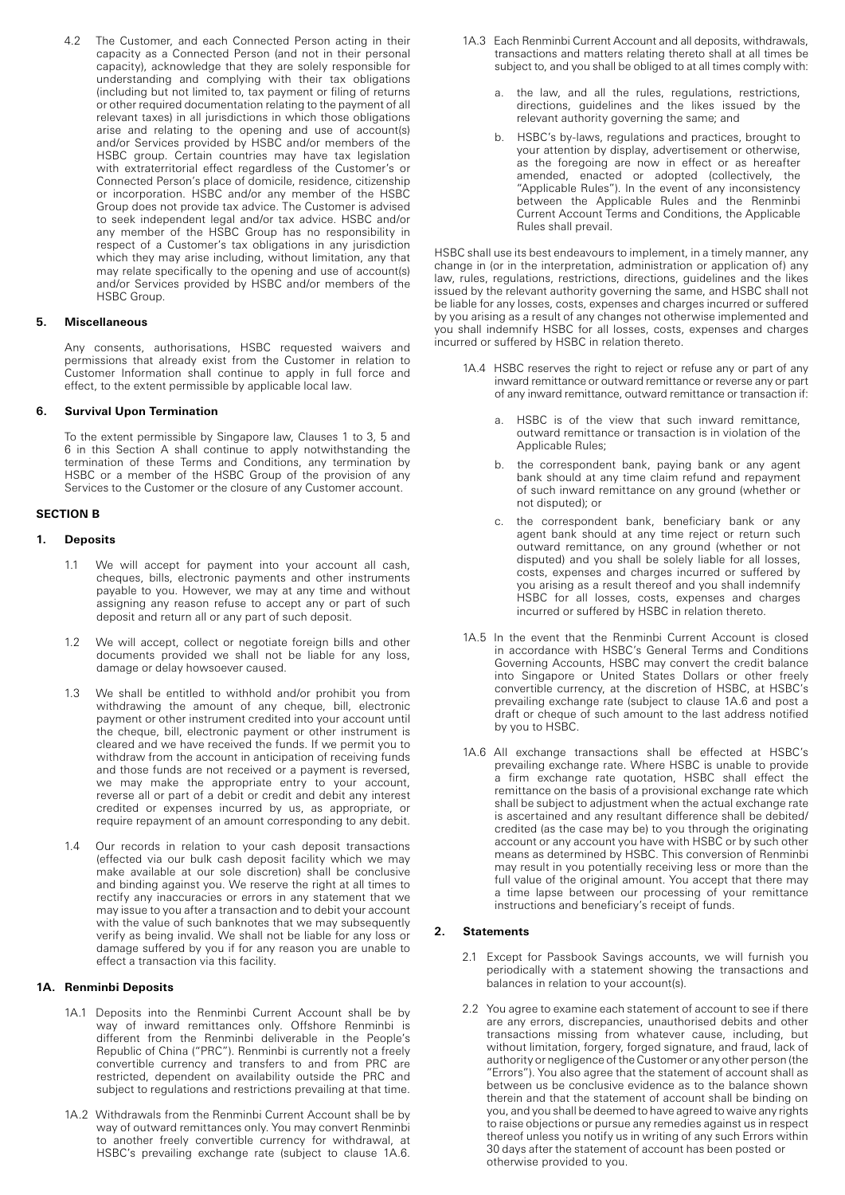4.2 The Customer, and each Connected Person acting in their capacity as a Connected Person (and not in their personal capacity), acknowledge that they are solely responsible for understanding and complying with their tax obligations (including but not limited to, tax payment or filing of returns or other required documentation relating to the payment of all relevant taxes) in all jurisdictions in which those obligations arise and relating to the opening and use of account(s) and/or Services provided by HSBC and/or members of the HSBC group. Certain countries may have tax legislation with extraterritorial effect regardless of the Customer's or Connected Person's place of domicile, residence, citizenship or incorporation. HSBC and/or any member of the HSBC Group does not provide tax advice. The Customer is advised to seek independent legal and/or tax advice. HSBC and/or any member of the HSBC Group has no responsibility in respect of a Customer's tax obligations in any jurisdiction which they may arise including, without limitation, any that may relate specifically to the opening and use of account(s) and/or Services provided by HSBC and/or members of the HSBC Group.

## **5. Miscellaneous**

Any consents, authorisations, HSBC requested waivers and permissions that already exist from the Customer in relation to Customer Information shall continue to apply in full force and effect, to the extent permissible by applicable local law.

# **6. Survival Upon Termination**

To the extent permissible by Singapore law, Clauses 1 to 3, 5 and 6 in this Section A shall continue to apply notwithstanding the termination of these Terms and Conditions, any termination by HSBC or a member of the HSBC Group of the provision of any Services to the Customer or the closure of any Customer account.

## **SECTION B**

## **1. Deposits**

- 1.1 We will accept for payment into your account all cash, cheques, bills, electronic payments and other instruments payable to you. However, we may at any time and without assigning any reason refuse to accept any or part of such deposit and return all or any part of such deposit.
- 1.2 We will accept, collect or negotiate foreign bills and other documents provided we shall not be liable for any loss, damage or delay howsoever caused.
- 1.3 We shall be entitled to withhold and/or prohibit you from withdrawing the amount of any cheque, bill, electronic payment or other instrument credited into your account until the cheque, bill, electronic payment or other instrument is cleared and we have received the funds. If we permit you to withdraw from the account in anticipation of receiving funds and those funds are not received or a payment is reversed, we may make the appropriate entry to your account, reverse all or part of a debit or credit and debit any interest credited or expenses incurred by us, as appropriate, or require repayment of an amount corresponding to any debit.
- 1.4 Our records in relation to your cash deposit transactions (effected via our bulk cash deposit facility which we may make available at our sole discretion) shall be conclusive and binding against you. We reserve the right at all times to rectify any inaccuracies or errors in any statement that we may issue to you after a transaction and to debit your account with the value of such banknotes that we may subsequently verify as being invalid. We shall not be liable for any loss or damage suffered by you if for any reason you are unable to effect a transaction via this facility.

# **1A. Renminbi Deposits**

- 1A.1 Deposits into the Renminbi Current Account shall be by way of inward remittances only. Offshore Renminbi is different from the Renminbi deliverable in the People's Republic of China ("PRC"). Renminbi is currently not a freely convertible currency and transfers to and from PRC are restricted, dependent on availability outside the PRC and subject to regulations and restrictions prevailing at that time.
- 1A.2 Withdrawals from the Renminbi Current Account shall be by way of outward remittances only. You may convert Renminbi to another freely convertible currency for withdrawal, at HSBC's prevailing exchange rate (subject to clause 1A.6.
- 1A.3 Each Renminbi Current Account and all deposits, withdrawals, transactions and matters relating thereto shall at all times be subject to, and you shall be obliged to at all times comply with:
	- the law, and all the rules, regulations, restrictions, directions, guidelines and the likes issued by the relevant authority governing the same; and
	- b. HSBC's by-laws, regulations and practices, brought to your attention by display, advertisement or otherwise, as the foregoing are now in effect or as hereafter amended, enacted or adopted (collectively, the "Applicable Rules"). In the event of any inconsistency between the Applicable Rules and the Renminbi Current Account Terms and Conditions, the Applicable Rules shall prevail.

HSBC shall use its best endeavours to implement, in a timely manner, any change in (or in the interpretation, administration or application of) any law, rules, regulations, restrictions, directions, guidelines and the likes issued by the relevant authority governing the same, and HSBC shall not be liable for any losses, costs, expenses and charges incurred or suffered by you arising as a result of any changes not otherwise implemented and you shall indemnify HSBC for all losses, costs, expenses and charges incurred or suffered by HSBC in relation thereto.

- 1A.4 HSBC reserves the right to reject or refuse any or part of any inward remittance or outward remittance or reverse any or part of any inward remittance, outward remittance or transaction if:
	- a. HSBC is of the view that such inward remittance, outward remittance or transaction is in violation of the Applicable Rules;
	- b. the correspondent bank, paying bank or any agent bank should at any time claim refund and repayment of such inward remittance on any ground (whether or not disputed); or
	- c. the correspondent bank, beneficiary bank or any agent bank should at any time reject or return such outward remittance, on any ground (whether or not disputed) and you shall be solely liable for all losses, costs, expenses and charges incurred or suffered by you arising as a result thereof and you shall indemnify HSBC for all losses, costs, expenses and charges incurred or suffered by HSBC in relation thereto.
- 1A.5 In the event that the Renminbi Current Account is closed in accordance with HSBC's General Terms and Conditions Governing Accounts, HSBC may convert the credit balance into Singapore or United States Dollars or other freely convertible currency, at the discretion of HSBC, at HSBC's prevailing exchange rate (subject to clause 1A.6 and post a draft or cheque of such amount to the last address notified by you to HSBC.
- 1A.6 All exchange transactions shall be effected at HSBC's prevailing exchange rate. Where HSBC is unable to provide a firm exchange rate quotation, HSBC shall effect the remittance on the basis of a provisional exchange rate which shall be subject to adjustment when the actual exchange rate is ascertained and any resultant difference shall be debited/ credited (as the case may be) to you through the originating account or any account you have with HSBC or by such other means as determined by HSBC. This conversion of Renminbi may result in you potentially receiving less or more than the full value of the original amount. You accept that there may a time lapse between our processing of your remittance instructions and beneficiary's receipt of funds.

# **2. Statements**

- 2.1 Except for Passbook Savings accounts, we will furnish you periodically with a statement showing the transactions and balances in relation to your account(s).
- 2.2 You agree to examine each statement of account to see if there are any errors, discrepancies, unauthorised debits and other transactions missing from whatever cause, including, but without limitation, forgery, forged signature, and fraud, lack of authority or negligence of the Customer or any other person (the "Errors"). You also agree that the statement of account shall as between us be conclusive evidence as to the balance shown therein and that the statement of account shall be binding on you, and you shall be deemed to have agreed to waive any rights to raise objections or pursue any remedies against us in respect thereof unless you notify us in writing of any such Errors within 30 days after the statement of account has been posted or otherwise provided to you.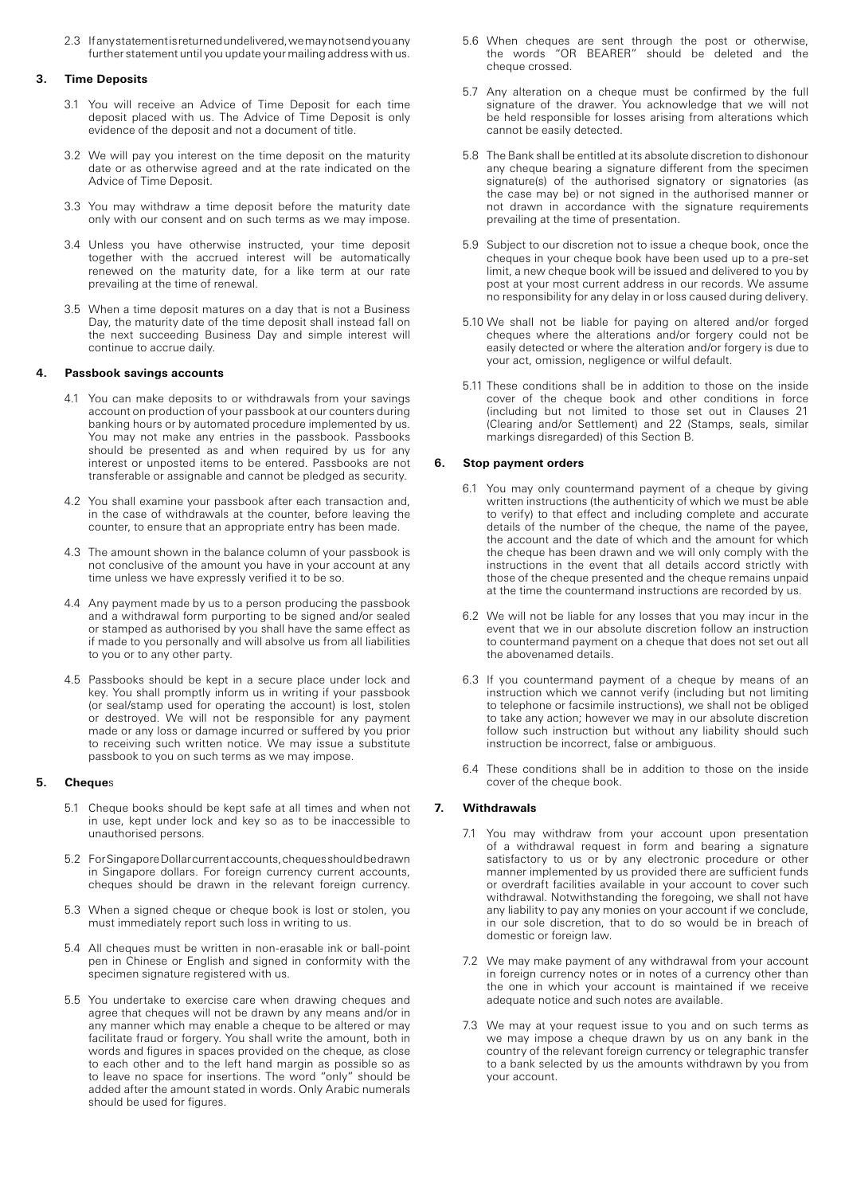2.3 If any statement is returned undelivered, we may not send you any further statement until you update your mailing address with us.

#### **3. Time Deposits**

- 3.1 You will receive an Advice of Time Deposit for each time deposit placed with us. The Advice of Time Deposit is only evidence of the deposit and not a document of title.
- 3.2 We will pay you interest on the time deposit on the maturity date or as otherwise agreed and at the rate indicated on the Advice of Time Deposit.
- 3.3 You may withdraw a time deposit before the maturity date only with our consent and on such terms as we may impose.
- 3.4 Unless you have otherwise instructed, your time deposit together with the accrued interest will be automatically renewed on the maturity date, for a like term at our rate prevailing at the time of renewal.
- 3.5 When a time deposit matures on a day that is not a Business Day, the maturity date of the time deposit shall instead fall on the next succeeding Business Day and simple interest will continue to accrue daily.

#### **4. Passbook savings accounts**

- 4.1 You can make deposits to or withdrawals from your savings account on production of your passbook at our counters during banking hours or by automated procedure implemented by us. You may not make any entries in the passbook. Passbooks should be presented as and when required by us for any interest or unposted items to be entered. Passbooks are not transferable or assignable and cannot be pledged as security.
- 4.2 You shall examine your passbook after each transaction and, in the case of withdrawals at the counter, before leaving the counter, to ensure that an appropriate entry has been made.
- 4.3 The amount shown in the balance column of your passbook is not conclusive of the amount you have in your account at any time unless we have expressly verified it to be so.
- 4.4 Any payment made by us to a person producing the passbook and a withdrawal form purporting to be signed and/or sealed or stamped as authorised by you shall have the same effect as if made to you personally and will absolve us from all liabilities to you or to any other party.
- 4.5 Passbooks should be kept in a secure place under lock and key. You shall promptly inform us in writing if your passbook (or seal/stamp used for operating the account) is lost, stolen or destroyed. We will not be responsible for any payment made or any loss or damage incurred or suffered by you prior to receiving such written notice. We may issue a substitute passbook to you on such terms as we may impose.

# **5. Cheque**s

- 5.1 Cheque books should be kept safe at all times and when not in use, kept under lock and key so as to be inaccessible to unauthorised persons.
- 5.2 For Singapore Dollar current accounts, cheques should be drawn in Singapore dollars. For foreign currency current accounts, cheques should be drawn in the relevant foreign currency.
- 5.3 When a signed cheque or cheque book is lost or stolen, you must immediately report such loss in writing to us.
- 5.4 All cheques must be written in non-erasable ink or ball-point pen in Chinese or English and signed in conformity with the specimen signature registered with us.
- 5.5 You undertake to exercise care when drawing cheques and agree that cheques will not be drawn by any means and/or in any manner which may enable a cheque to be altered or may facilitate fraud or forgery. You shall write the amount, both in words and figures in spaces provided on the cheque, as close to each other and to the left hand margin as possible so as to leave no space for insertions. The word "only" should be added after the amount stated in words. Only Arabic numerals should be used for figures.
- 5.6 When cheques are sent through the post or otherwise, the words "OR BEARER" should be deleted and the cheque crossed.
- 5.7 Any alteration on a cheque must be confirmed by the full signature of the drawer. You acknowledge that we will not be held responsible for losses arising from alterations which cannot be easily detected.
- 5.8 The Bank shall be entitled at its absolute discretion to dishonour any cheque bearing a signature different from the specimen signature(s) of the authorised signatory or signatories (as the case may be) or not signed in the authorised manner or not drawn in accordance with the signature requirements prevailing at the time of presentation.
- 5.9 Subject to our discretion not to issue a cheque book, once the cheques in your cheque book have been used up to a pre-set limit, a new cheque book will be issued and delivered to you by post at your most current address in our records. We assume no responsibility for any delay in or loss caused during delivery.
- 5.10 We shall not be liable for paying on altered and/or forged cheques where the alterations and/or forgery could not be easily detected or where the alteration and/or forgery is due to your act, omission, negligence or wilful default.
- 5.11 These conditions shall be in addition to those on the inside cover of the cheque book and other conditions in force (including but not limited to those set out in Clauses 21 (Clearing and/or Settlement) and 22 (Stamps, seals, similar markings disregarded) of this Section B.

#### **6. Stop payment orders**

- 6.1 You may only countermand payment of a cheque by giving written instructions (the authenticity of which we must be able to verify) to that effect and including complete and accurate details of the number of the cheque, the name of the payee, the account and the date of which and the amount for which the cheque has been drawn and we will only comply with the instructions in the event that all details accord strictly with those of the cheque presented and the cheque remains unpaid at the time the countermand instructions are recorded by us.
- 6.2 We will not be liable for any losses that you may incur in the event that we in our absolute discretion follow an instruction to countermand payment on a cheque that does not set out all the abovenamed details.
- 6.3 If you countermand payment of a cheque by means of an instruction which we cannot verify (including but not limiting to telephone or facsimile instructions), we shall not be obliged to take any action; however we may in our absolute discretion follow such instruction but without any liability should such instruction be incorrect, false or ambiguous.
- 6.4 These conditions shall be in addition to those on the inside cover of the cheque book.

## **7. Withdrawals**

- 7.1 You may withdraw from your account upon presentation of a withdrawal request in form and bearing a signature satisfactory to us or by any electronic procedure or other manner implemented by us provided there are sufficient funds or overdraft facilities available in your account to cover such withdrawal. Notwithstanding the foregoing, we shall not have any liability to pay any monies on your account if we conclude, in our sole discretion, that to do so would be in breach of domestic or foreign law.
- 7.2 We may make payment of any withdrawal from your account in foreign currency notes or in notes of a currency other than the one in which your account is maintained if we receive adequate notice and such notes are available.
- 7.3 We may at your request issue to you and on such terms as we may impose a cheque drawn by us on any bank in the country of the relevant foreign currency or telegraphic transfer to a bank selected by us the amounts withdrawn by you from your account.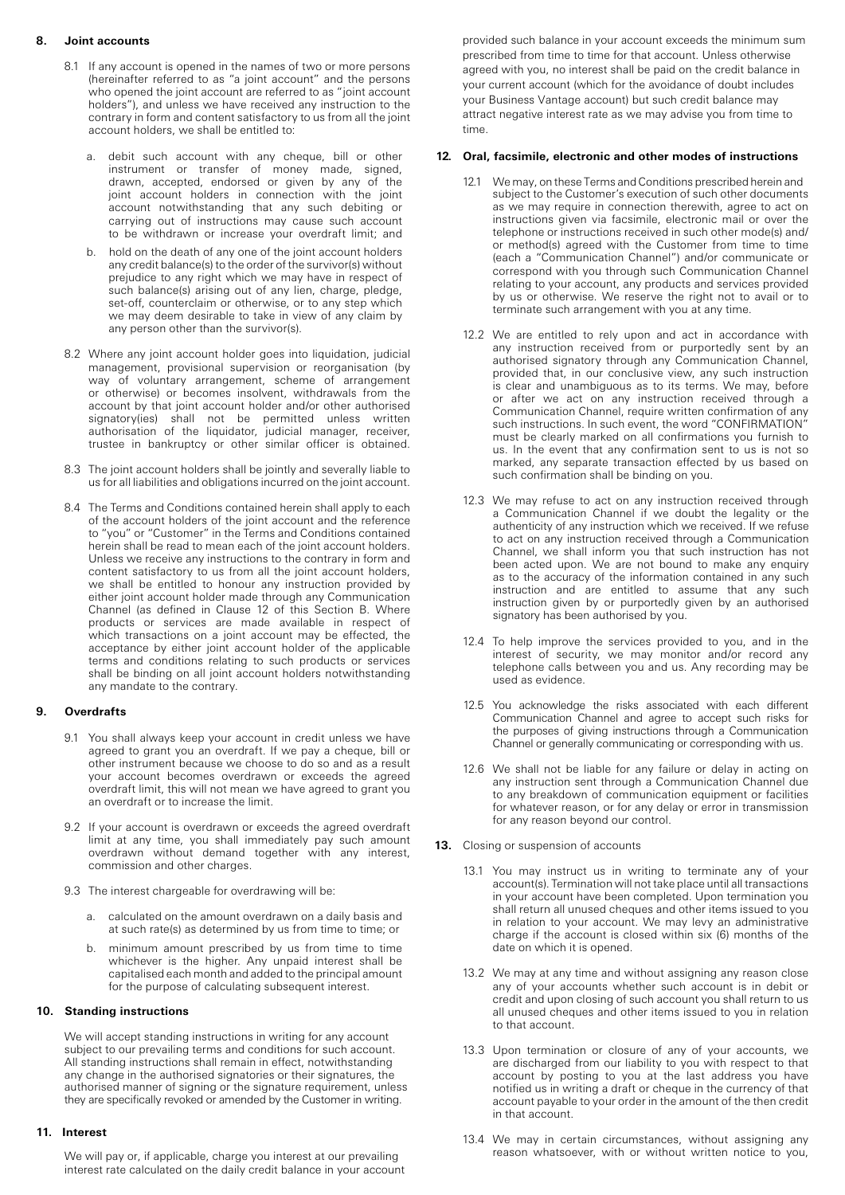# **8. Joint accounts**

- 8.1 If any account is opened in the names of two or more persons (hereinafter referred to as "a joint account" and the persons who opened the joint account are referred to as "joint account holders"), and unless we have received any instruction to the contrary in form and content satisfactory to us from all the joint account holders, we shall be entitled to:
	- a. debit such account with any cheque, bill or other instrument or transfer of money made, signed, drawn, accepted, endorsed or given by any of the joint account holders in connection with the joint account notwithstanding that any such debiting or carrying out of instructions may cause such account to be withdrawn or increase your overdraft limit; and
	- b. hold on the death of any one of the joint account holders any credit balance(s) to the order of the survivor(s) without prejudice to any right which we may have in respect of such balance(s) arising out of any lien, charge, pledge, set-off, counterclaim or otherwise, or to any step which we may deem desirable to take in view of any claim by any person other than the survivor(s).
- 8.2 Where any joint account holder goes into liquidation, judicial management, provisional supervision or reorganisation (by way of voluntary arrangement, scheme of arrangement or otherwise) or becomes insolvent, withdrawals from the account by that joint account holder and/or other authorised signatory(ies) shall not be permitted unless written authorisation of the liquidator, judicial manager, receiver, trustee in bankruptcy or other similar officer is obtained.
- 8.3 The joint account holders shall be jointly and severally liable to us for all liabilities and obligations incurred on the joint account.
- 8.4 The Terms and Conditions contained herein shall apply to each of the account holders of the joint account and the reference to "you" or "Customer" in the Terms and Conditions contained herein shall be read to mean each of the joint account holders. Unless we receive any instructions to the contrary in form and content satisfactory to us from all the joint account holders, we shall be entitled to honour any instruction provided by either joint account holder made through any Communication Channel (as defined in Clause 12 of this Section B. Where products or services are made available in respect of which transactions on a joint account may be effected, the acceptance by either joint account holder of the applicable terms and conditions relating to such products or services shall be binding on all joint account holders notwithstanding any mandate to the contrary.

# **9. Overdrafts**

- 9.1 You shall always keep your account in credit unless we have agreed to grant you an overdraft. If we pay a cheque, bill or other instrument because we choose to do so and as a result your account becomes overdrawn or exceeds the agreed overdraft limit, this will not mean we have agreed to grant you an overdraft or to increase the limit.
- 9.2 If your account is overdrawn or exceeds the agreed overdraft limit at any time, you shall immediately pay such amount overdrawn without demand together with any interest, commission and other charges.
- 9.3 The interest chargeable for overdrawing will be:
	- a. calculated on the amount overdrawn on a daily basis and at such rate(s) as determined by us from time to time; or
	- b. minimum amount prescribed by us from time to time whichever is the higher. Any unpaid interest shall be capitalised each month and added to the principal amount for the purpose of calculating subsequent interest.

## **10. Standing instructions**

We will accept standing instructions in writing for any account subject to our prevailing terms and conditions for such account. All standing instructions shall remain in effect, notwithstanding any change in the authorised signatories or their signatures, the authorised manner of signing or the signature requirement, unless they are specifically revoked or amended by the Customer in writing.

## **11. Interest**

We will pay or, if applicable, charge you interest at our prevailing interest rate calculated on the daily credit balance in your account provided such balance in your account exceeds the minimum sum prescribed from time to time for that account. Unless otherwise agreed with you, no interest shall be paid on the credit balance in your current account (which for the avoidance of doubt includes your Business Vantage account) but such credit balance may attract negative interest rate as we may advise you from time to time.

# **12. Oral, facsimile, electronic and other modes of instructions**

- subject to the Customer's execution of such other documents as we may require in connection therewith, agree to act on instructions given via facsimile, electronic mail or over the telephone or instructions received in such other mode(s) and/ or method(s) agreed with the Customer from time to time (each a "Communication Channel") and/or communicate or correspond with you through such Communication Channel relating to your account, any products and services provided by us or otherwise. We reserve the right not to avail or to terminate such arrangement with you at any time. 12.1 We may, on these Terms and Conditions prescribed herein and
- 12.2 We are entitled to rely upon and act in accordance with any instruction received from or purportedly sent by an authorised signatory through any Communication Channel, provided that, in our conclusive view, any such instruction is clear and unambiguous as to its terms. We may, before or after we act on any instruction received through a Communication Channel, require written confirmation of any such instructions. In such event, the word "CONFIRMATION" must be clearly marked on all confirmations you furnish to us. In the event that any confirmation sent to us is not so marked, any separate transaction effected by us based on such confirmation shall be binding on you.
- 12.3 We may refuse to act on any instruction received through a Communication Channel if we doubt the legality or the authenticity of any instruction which we received. If we refuse to act on any instruction received through a Communication Channel, we shall inform you that such instruction has not been acted upon. We are not bound to make any enquiry as to the accuracy of the information contained in any such instruction and are entitled to assume that any such instruction given by or purportedly given by an authorised signatory has been authorised by you.
- 12.4 To help improve the services provided to you, and in the interest of security, we may monitor and/or record any telephone calls between you and us. Any recording may be used as evidence.
- 12.5 You acknowledge the risks associated with each different Communication Channel and agree to accept such risks for the purposes of giving instructions through a Communication Channel or generally communicating or corresponding with us.
- 12.6 We shall not be liable for any failure or delay in acting on any instruction sent through a Communication Channel due to any breakdown of communication equipment or facilities for whatever reason, or for any delay or error in transmission for any reason beyond our control.
- **13.** Closing or suspension of accounts
	- 13.1 You may instruct us in writing to terminate any of your account(s). Termination will not take place until all transactions in your account have been completed. Upon termination you shall return all unused cheques and other items issued to you in relation to your account. We may levy an administrative charge if the account is closed within six (6) months of the date on which it is opened.
	- 13.2 We may at any time and without assigning any reason close any of your accounts whether such account is in debit or credit and upon closing of such account you shall return to us all unused cheques and other items issued to you in relation to that account.
	- 13.3 Upon termination or closure of any of your accounts, we are discharged from our liability to you with respect to that account by posting to you at the last address you have notified us in writing a draft or cheque in the currency of that account payable to your order in the amount of the then credit in that account.
	- 13.4 We may in certain circumstances, without assigning any reason whatsoever, with or without written notice to you,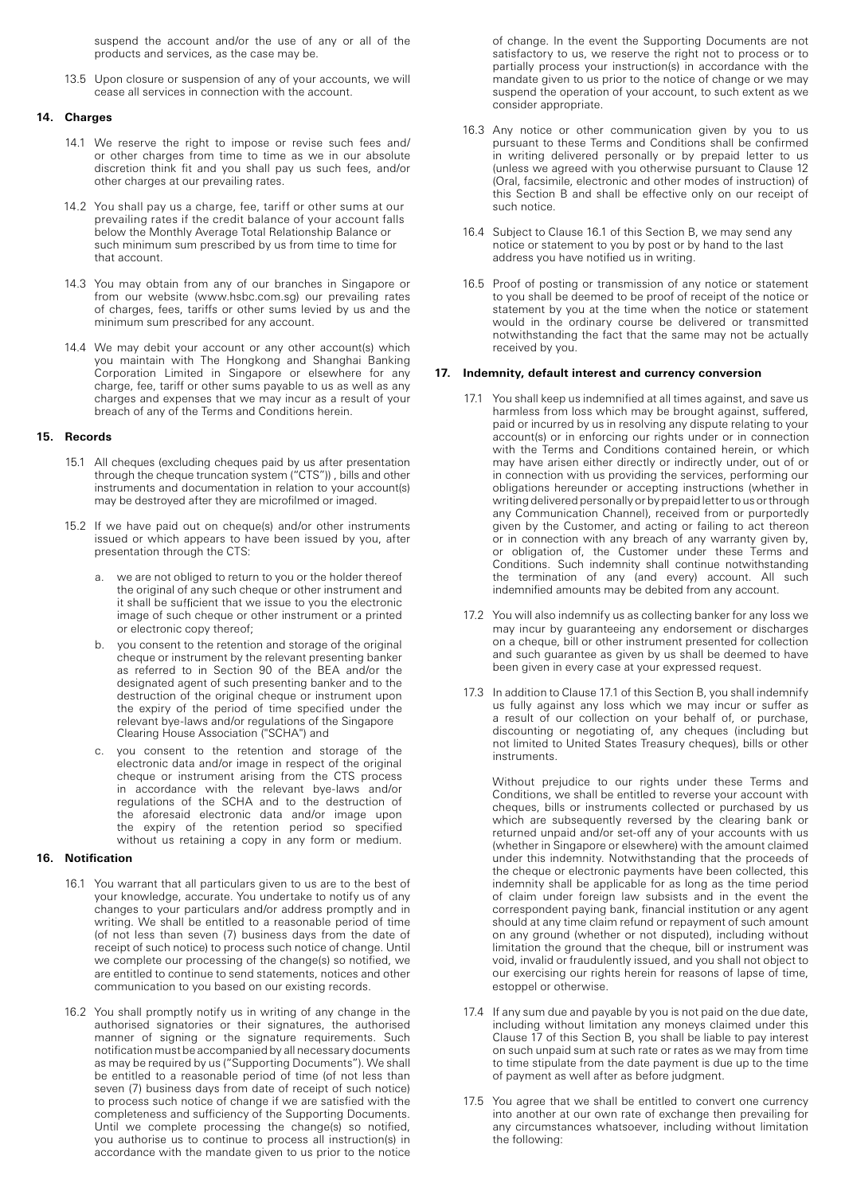suspend the account and/or the use of any or all of the products and services, as the case may be.

13.5 Upon closure or suspension of any of your accounts, we will cease all services in connection with the account.

## **14. Charges**

- 14.1 We reserve the right to impose or revise such fees and/ or other charges from time to time as we in our absolute discretion think fit and you shall pay us such fees, and/or other charges at our prevailing rates.
- 14.2 You shall pay us a charge, fee, tariff or other sums at our prevailing rates if the credit balance of your account falls below the Monthly Average Total Relationship Balance or such minimum sum prescribed by us from time to time for that account.
- 14.3 You may obtain from any of our branches in Singapore or from our website (www.hsbc.com.sg) our prevailing rates of charges, fees, tariffs or other sums levied by us and the minimum sum prescribed for any account.
- 14.4 We may debit your account or any other account(s) which you maintain with The Hongkong and Shanghai Banking Corporation Limited in Singapore or elsewhere for any charge, fee, tariff or other sums payable to us as well as any charges and expenses that we may incur as a result of your breach of any of the Terms and Conditions herein.

#### **15. Records**

- 15.1 All cheques (excluding cheques paid by us after presentation through the cheque truncation system ("CTS")) , bills and other instruments and documentation in relation to your account(s) may be destroyed after they are microfilmed or imaged.
- 15.2 If we have paid out on cheque(s) and/or other instruments issued or which appears to have been issued by you, after presentation through the CTS:
	- we are not obliged to return to you or the holder thereof the original of any such cheque or other instrument and it shall be sufficient that we issue to you the electronic image of such cheque or other instrument or a printed or electronic copy thereof;
	- you consent to the retention and storage of the original cheque or instrument by the relevant presenting banker as referred to in Section 90 of the BEA and/or the designated agent of such presenting banker and to the destruction of the original cheque or instrument upon the expiry of the period of time specified under the relevant bye-laws and/or regulations of the Singapore Clearing House Association ("SCHA") and
	- c. you consent to the retention and storage of the electronic data and/or image in respect of the original cheque or instrument arising from the CTS process in accordance with the relevant bye-laws and/or regulations of the SCHA and to the destruction of the aforesaid electronic data and/or image upon the expiry of the retention period so specified without us retaining a copy in any form or medium.

#### **16. Notification**

- 16.1 You warrant that all particulars given to us are to the best of your knowledge, accurate. You undertake to notify us of any changes to your particulars and/or address promptly and in writing. We shall be entitled to a reasonable period of time (of not less than seven (7) business days from the date of receipt of such notice) to process such notice of change. Until we complete our processing of the change(s) so notified, we are entitled to continue to send statements, notices and other communication to you based on our existing records.
- 16.2 You shall promptly notify us in writing of any change in the authorised signatories or their signatures, the authorised manner of signing or the signature requirements. Such notification must be accompanied by all necessary documents as may be required by us ("Supporting Documents"). We shall be entitled to a reasonable period of time (of not less than seven (7) business days from date of receipt of such notice) to process such notice of change if we are satisfied with the completeness and sufficiency of the Supporting Documents. Until we complete processing the change(s) so notified, you authorise us to continue to process all instruction(s) in accordance with the mandate given to us prior to the notice

of change. In the event the Supporting Documents are not satisfactory to us, we reserve the right not to process or to partially process your instruction(s) in accordance with the mandate given to us prior to the notice of change or we may suspend the operation of your account, to such extent as we consider appropriate.

- 16.3 Any notice or other communication given by you to us pursuant to these Terms and Conditions shall be confirmed in writing delivered personally or by prepaid letter to us (unless we agreed with you otherwise pursuant to Clause 12 (Oral, facsimile, electronic and other modes of instruction) of this Section B and shall be effective only on our receipt of such notice.
- 16.4 Subject to Clause 16.1 of this Section B, we may send any notice or statement to you by post or by hand to the last address you have notified us in writing.
- 16.5 Proof of posting or transmission of any notice or statement to you shall be deemed to be proof of receipt of the notice or statement by you at the time when the notice or statement would in the ordinary course be delivered or transmitted notwithstanding the fact that the same may not be actually received by you.

#### **17. Indemnity, default interest and currency conversion**

- 17.1 You shall keep us indemnified at all times against, and save us harmless from loss which may be brought against, suffered, paid or incurred by us in resolving any dispute relating to your account(s) or in enforcing our rights under or in connection with the Terms and Conditions contained herein, or which may have arisen either directly or indirectly under, out of or in connection with us providing the services, performing our obligations hereunder or accepting instructions (whether in writing delivered personally or by prepaid letter to us or through any Communication Channel), received from or purportedly given by the Customer, and acting or failing to act thereon or in connection with any breach of any warranty given by, or obligation of, the Customer under these Terms and Conditions. Such indemnity shall continue notwithstanding the termination of any (and every) account. All such indemnified amounts may be debited from any account.
- 17.2 You will also indemnify us as collecting banker for any loss we may incur by guaranteeing any endorsement or discharges on a cheque, bill or other instrument presented for collection and such guarantee as given by us shall be deemed to have been given in every case at your expressed request.
- 17.3 In addition to Clause 17.1 of this Section B, you shall indemnify us fully against any loss which we may incur or suffer as a result of our collection on your behalf of, or purchase, discounting or negotiating of, any cheques (including but not limited to United States Treasury cheques), bills or other **instruments**

Without prejudice to our rights under these Terms and Conditions, we shall be entitled to reverse your account with cheques, bills or instruments collected or purchased by us which are subsequently reversed by the clearing bank or returned unpaid and/or set-off any of your accounts with us (whether in Singapore or elsewhere) with the amount claimed under this indemnity. Notwithstanding that the proceeds of the cheque or electronic payments have been collected, this indemnity shall be applicable for as long as the time period of claim under foreign law subsists and in the event the correspondent paying bank, financial institution or any agent should at any time claim refund or repayment of such amount on any ground (whether or not disputed), including without limitation the ground that the cheque, bill or instrument was void, invalid or fraudulently issued, and you shall not object to our exercising our rights herein for reasons of lapse of time, estoppel or otherwise.

- 17.4 If any sum due and payable by you is not paid on the due date, including without limitation any moneys claimed under this Clause 17 of this Section B, you shall be liable to pay interest on such unpaid sum at such rate or rates as we may from time to time stipulate from the date payment is due up to the time of payment as well after as before judgment.
- 17.5 You agree that we shall be entitled to convert one currency into another at our own rate of exchange then prevailing for any circumstances whatsoever, including without limitation the following: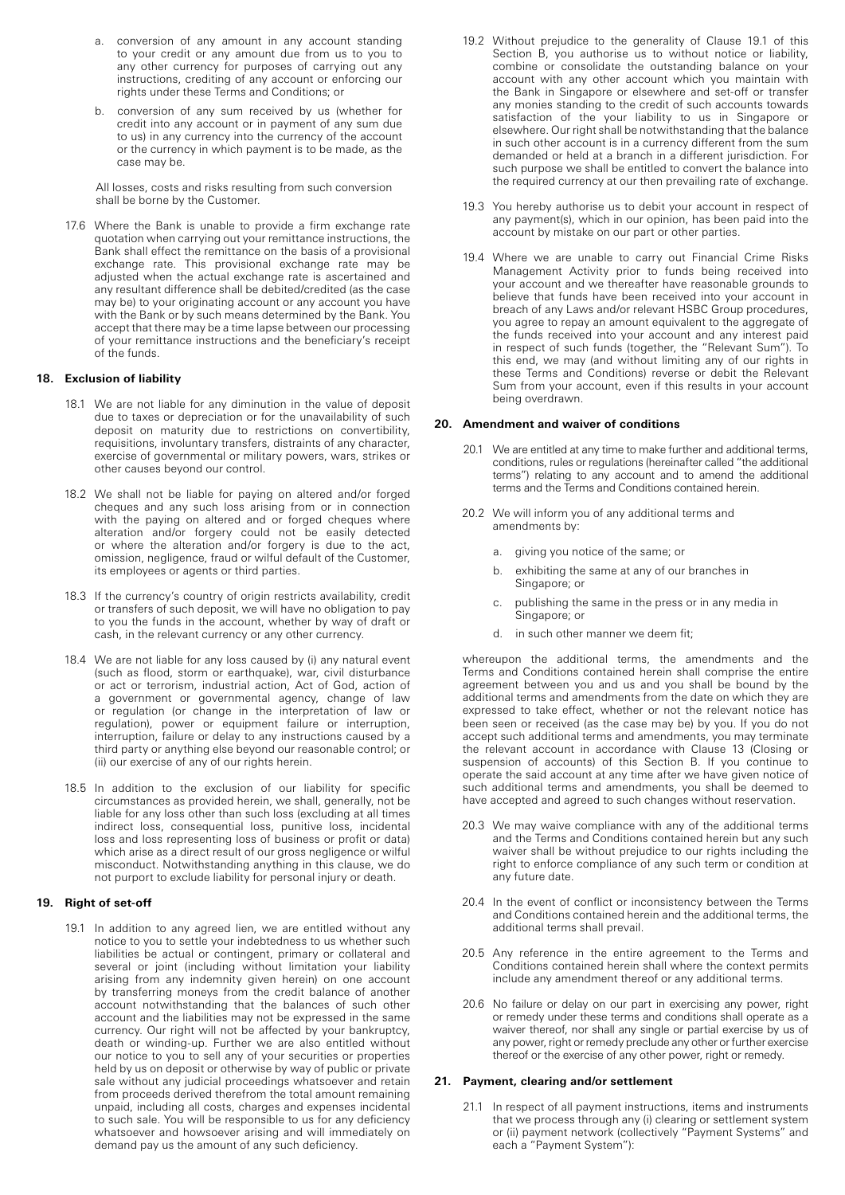- a. conversion of any amount in any account standing to your credit or any amount due from us to you to any other currency for purposes of carrying out any instructions, crediting of any account or enforcing our rights under these Terms and Conditions; or
- conversion of any sum received by us (whether for credit into any account or in payment of any sum due to us) in any currency into the currency of the account or the currency in which payment is to be made, as the case may be.

All losses, costs and risks resulting from such conversion shall be borne by the Customer.

17.6 Where the Bank is unable to provide a firm exchange rate quotation when carrying out your remittance instructions, the Bank shall effect the remittance on the basis of a provisional exchange rate. This provisional exchange rate may be adjusted when the actual exchange rate is ascertained and any resultant difference shall be debited/credited (as the case may be) to your originating account or any account you have with the Bank or by such means determined by the Bank. You accept that there may be a time lapse between our processing of your remittance instructions and the beneficiary's receipt of the funds.

# **18. Exclusion of liability**

- 18.1 We are not liable for any diminution in the value of deposit due to taxes or depreciation or for the unavailability of such deposit on maturity due to restrictions on convertibility, requisitions, involuntary transfers, distraints of any character, exercise of governmental or military powers, wars, strikes or other causes beyond our control.
- 18.2 We shall not be liable for paying on altered and/or forged cheques and any such loss arising from or in connection with the paying on altered and or forged cheques where alteration and/or forgery could not be easily detected or where the alteration and/or forgery is due to the act, omission, negligence, fraud or wilful default of the Customer, its employees or agents or third parties.
- 18.3 If the currency's country of origin restricts availability, credit or transfers of such deposit, we will have no obligation to pay to you the funds in the account, whether by way of draft or cash, in the relevant currency or any other currency.
- 18.4 We are not liable for any loss caused by (i) any natural event (such as flood, storm or earthquake), war, civil disturbance or act or terrorism, industrial action, Act of God, action of a government or governmental agency, change of law or regulation (or change in the interpretation of law or regulation), power or equipment failure or interruption, interruption, failure or delay to any instructions caused by a third party or anything else beyond our reasonable control; or (ii) our exercise of any of our rights herein.
- 18.5 In addition to the exclusion of our liability for specific circumstances as provided herein, we shall, generally, not be liable for any loss other than such loss (excluding at all times indirect loss, consequential loss, punitive loss, incidental loss and loss representing loss of business or profit or data) which arise as a direct result of our gross negligence or wilful misconduct. Notwithstanding anything in this clause, we do not purport to exclude liability for personal injury or death.

## **19. Right of set-off**

19.1 In addition to any agreed lien, we are entitled without any notice to you to settle your indebtedness to us whether such liabilities be actual or contingent, primary or collateral and several or joint (including without limitation your liability arising from any indemnity given herein) on one account by transferring moneys from the credit balance of another account notwithstanding that the balances of such other account and the liabilities may not be expressed in the same currency. Our right will not be affected by your bankruptcy, death or winding-up. Further we are also entitled without our notice to you to sell any of your securities or properties held by us on deposit or otherwise by way of public or private sale without any judicial proceedings whatsoever and retain from proceeds derived therefrom the total amount remaining unpaid, including all costs, charges and expenses incidental to such sale. You will be responsible to us for any deficiency whatsoever and howsoever arising and will immediately on demand pay us the amount of any such deficiency.

- 19.2 Without prejudice to the generality of Clause 19.1 of this Section B, you authorise us to without notice or liability, combine or consolidate the outstanding balance on your account with any other account which you maintain with the Bank in Singapore or elsewhere and set-off or transfer any monies standing to the credit of such accounts towards satisfaction of the your liability to us in Singapore or elsewhere. Our right shall be notwithstanding that the balance in such other account is in a currency different from the sum demanded or held at a branch in a different jurisdiction. For such purpose we shall be entitled to convert the balance into the required currency at our then prevailing rate of exchange.
- 19.3 You hereby authorise us to debit your account in respect of any payment(s), which in our opinion, has been paid into the account by mistake on our part or other parties.
- 19.4 Where we are unable to carry out Financial Crime Risks Management Activity prior to funds being received into your account and we thereafter have reasonable grounds to believe that funds have been received into your account in breach of any Laws and/or relevant HSBC Group procedures, you agree to repay an amount equivalent to the aggregate of the funds received into your account and any interest paid in respect of such funds (together, the "Relevant Sum"). To this end, we may (and without limiting any of our rights in these Terms and Conditions) reverse or debit the Relevant Sum from your account, even if this results in your account being overdrawn.

#### **20. Amendment and waiver of conditions**

- 20.1 We are entitled at any time to make further and additional terms, conditions, rules or regulations (hereinafter called "the additional terms") relating to any account and to amend the additional terms and the Terms and Conditions contained herein.
- 20.2 We will inform you of any additional terms and amendments by:
	- a. giving you notice of the same; or
	- b. exhibiting the same at any of our branches in Singapore; or
	- c. publishing the same in the press or in any media in Singapore; or
	- d. in such other manner we deem fit;

whereupon the additional terms, the amendments and the Terms and Conditions contained herein shall comprise the entire agreement between you and us and you shall be bound by the additional terms and amendments from the date on which they are expressed to take effect, whether or not the relevant notice has been seen or received (as the case may be) by you. If you do not accept such additional terms and amendments, you may terminate the relevant account in accordance with Clause 13 (Closing or suspension of accounts) of this Section B. If you continue to operate the said account at any time after we have given notice of such additional terms and amendments, you shall be deemed to have accepted and agreed to such changes without reservation.

- 20.3 We may waive compliance with any of the additional terms and the Terms and Conditions contained herein but any such waiver shall be without prejudice to our rights including the right to enforce compliance of any such term or condition at any future date.
- 20.4 In the event of conflict or inconsistency between the Terms and Conditions contained herein and the additional terms, the additional terms shall prevail.
- 20.5 Any reference in the entire agreement to the Terms and Conditions contained herein shall where the context permits include any amendment thereof or any additional terms.
- 20.6 No failure or delay on our part in exercising any power, right or remedy under these terms and conditions shall operate as a waiver thereof, nor shall any single or partial exercise by us of any power, right or remedy preclude any other or further exercise thereof or the exercise of any other power, right or remedy.

#### **21. Payment, clearing and/or settlement**

21.1 In respect of all payment instructions, items and instruments that we process through any (i) clearing or settlement system or (ii) payment network (collectively "Payment Systems" and each a "Payment System"):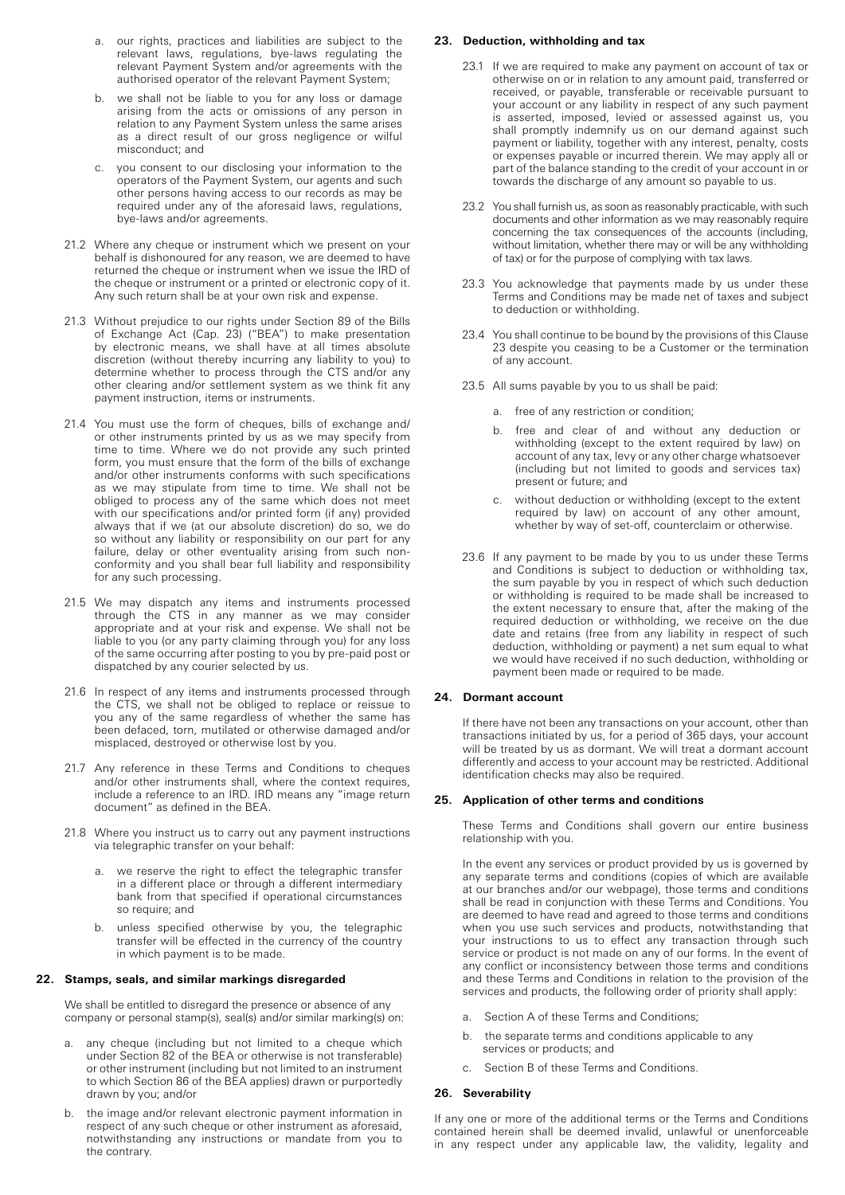- a. our rights, practices and liabilities are subject to the relevant laws, regulations, bye-laws regulating the relevant Payment System and/or agreements with the authorised operator of the relevant Payment System;
- b. we shall not be liable to you for any loss or damage arising from the acts or omissions of any person in relation to any Payment System unless the same arises as a direct result of our gross negligence or wilful misconduct; and
- c. you consent to our disclosing your information to the operators of the Payment System, our agents and such other persons having access to our records as may be required under any of the aforesaid laws, regulations, bye-laws and/or agreements.
- 21.2 Where any cheque or instrument which we present on your behalf is dishonoured for any reason, we are deemed to have returned the cheque or instrument when we issue the IRD of the cheque or instrument or a printed or electronic copy of it. Any such return shall be at your own risk and expense.
- 21.3 Without prejudice to our rights under Section 89 of the Bills of Exchange Act (Cap. 23) ("BEA") to make presentation by electronic means, we shall have at all times absolute discretion (without thereby incurring any liability to you) to determine whether to process through the CTS and/or any other clearing and/or settlement system as we think fit any payment instruction, items or instruments.
- 21.4 You must use the form of cheques, bills of exchange and/ or other instruments printed by us as we may specify from time to time. Where we do not provide any such printed form, you must ensure that the form of the bills of exchange and/or other instruments conforms with such specifications as we may stipulate from time to time. We shall not be obliged to process any of the same which does not meet with our specifications and/or printed form (if any) provided always that if we (at our absolute discretion) do so, we do so without any liability or responsibility on our part for any failure, delay or other eventuality arising from such nonconformity and you shall bear full liability and responsibility for any such processing.
- 21.5 We may dispatch any items and instruments processed through the CTS in any manner as we may consider appropriate and at your risk and expense. We shall not be liable to you (or any party claiming through you) for any loss of the same occurring after posting to you by pre-paid post or dispatched by any courier selected by us.
- 21.6 In respect of any items and instruments processed through the CTS, we shall not be obliged to replace or reissue to you any of the same regardless of whether the same has been defaced, torn, mutilated or otherwise damaged and/or misplaced, destroyed or otherwise lost by you.
- 21.7 Any reference in these Terms and Conditions to cheques and/or other instruments shall, where the context requires, include a reference to an IRD. IRD means any "image return document" as defined in the BEA.
- 21.8 Where you instruct us to carry out any payment instructions via telegraphic transfer on your behalf:
	- we reserve the right to effect the telegraphic transfer in a different place or through a different intermediary bank from that specified if operational circumstances so require; and
	- b. unless specified otherwise by you, the telegraphic transfer will be effected in the currency of the country in which payment is to be made.

## **22. Stamps, seals, and similar markings disregarded**

We shall be entitled to disregard the presence or absence of any company or personal stamp(s), seal(s) and/or similar marking(s) on:

- a. any cheque (including but not limited to a cheque which under Section 82 of the BEA or otherwise is not transferable) or other instrument (including but not limited to an instrument to which Section 86 of the BEA applies) drawn or purportedly drawn by you; and/or
- b. the image and/or relevant electronic payment information in respect of any such cheque or other instrument as aforesaid, notwithstanding any instructions or mandate from you to the contrary.

## **23. Deduction, withholding and tax**

- 23.1 If we are required to make any payment on account of tax or otherwise on or in relation to any amount paid, transferred or received, or payable, transferable or receivable pursuant to your account or any liability in respect of any such payment is asserted, imposed, levied or assessed against us, you shall promptly indemnify us on our demand against such payment or liability, together with any interest, penalty, costs or expenses payable or incurred therein. We may apply all or part of the balance standing to the credit of your account in or towards the discharge of any amount so payable to us.
- 23.2 You shall furnish us, as soon as reasonably practicable, with such documents and other information as we may reasonably require concerning the tax consequences of the accounts (including, without limitation, whether there may or will be any withholding of tax) or for the purpose of complying with tax laws.
- 23.3 You acknowledge that payments made by us under these Terms and Conditions may be made net of taxes and subject to deduction or withholding.
- 23.4 You shall continue to be bound by the provisions of this Clause 23 despite you ceasing to be a Customer or the termination of any account.
- 23.5 All sums payable by you to us shall be paid:
	- a. free of any restriction or condition;
	- b. free and clear of and without any deduction or withholding (except to the extent required by law) on account of any tax, levy or any other charge whatsoever (including but not limited to goods and services tax) present or future; and
	- c. without deduction or withholding (except to the extent required by law) on account of any other amount, whether by way of set-off, counterclaim or otherwise.
- 23.6 If any payment to be made by you to us under these Terms and Conditions is subject to deduction or withholding tax, the sum payable by you in respect of which such deduction or withholding is required to be made shall be increased to the extent necessary to ensure that, after the making of the required deduction or withholding, we receive on the due date and retains (free from any liability in respect of such deduction, withholding or payment) a net sum equal to what we would have received if no such deduction, withholding or payment been made or required to be made.

#### **24. Dormant account**

If there have not been any transactions on your account, other than transactions initiated by us, for a period of 365 days, your account will be treated by us as dormant. We will treat a dormant account differently and access to your account may be restricted. Additional identification checks may also be required.

#### **25. Application of other terms and conditions**

These Terms and Conditions shall govern our entire business relationship with you.

In the event any services or product provided by us is governed by any separate terms and conditions (copies of which are available at our branches and/or our webpage), those terms and conditions shall be read in conjunction with these Terms and Conditions. You are deemed to have read and agreed to those terms and conditions when you use such services and products, notwithstanding that your instructions to us to effect any transaction through such service or product is not made on any of our forms. In the event of any conflict or inconsistency between those terms and conditions and these Terms and Conditions in relation to the provision of the services and products, the following order of priority shall apply:

- a. Section A of these Terms and Conditions;
- b. the separate terms and conditions applicable to any services or products; and
- c. Section B of these Terms and Conditions.

## **26. Severability**

If any one or more of the additional terms or the Terms and Conditions contained herein shall be deemed invalid, unlawful or unenforceable in any respect under any applicable law, the validity, legality and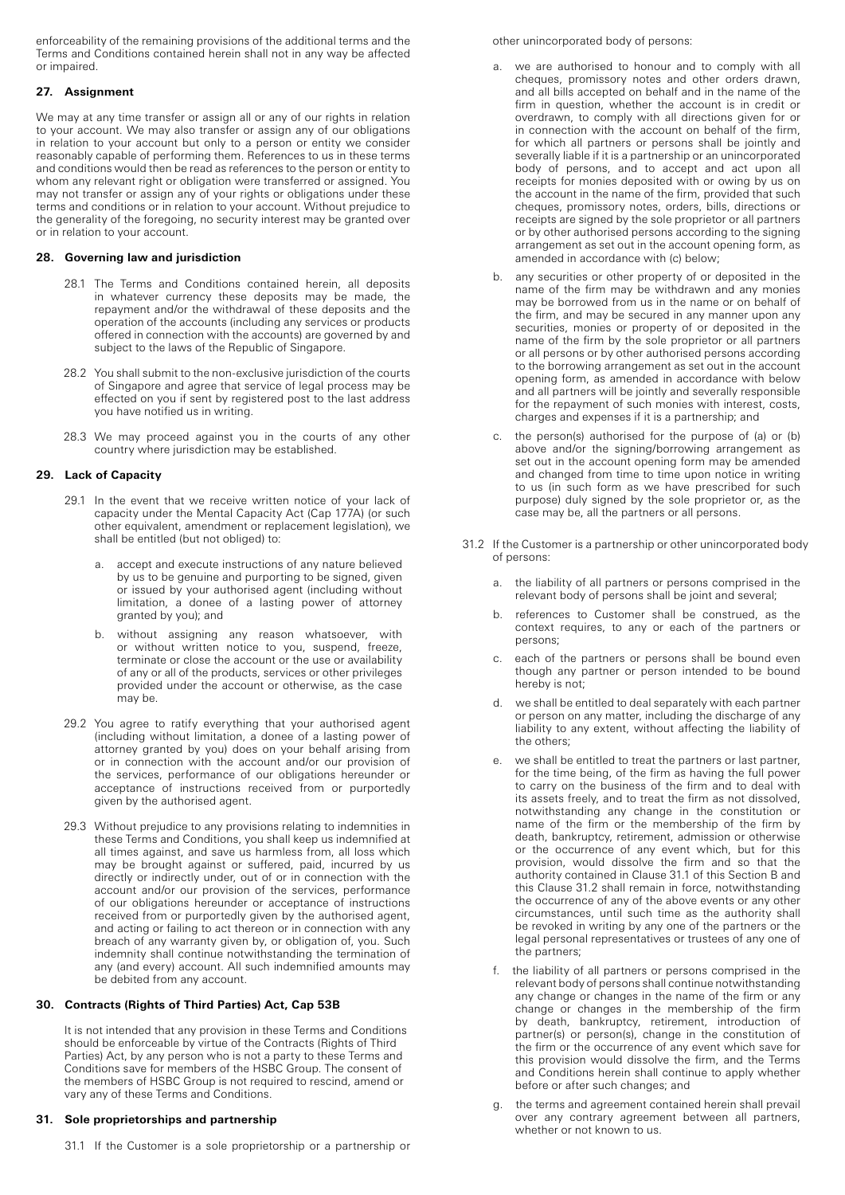enforceability of the remaining provisions of the additional terms and the Terms and Conditions contained herein shall not in any way be affected or impaired.

# **27. Assignment**

We may at any time transfer or assign all or any of our rights in relation to your account. We may also transfer or assign any of our obligations in relation to your account but only to a person or entity we consider reasonably capable of performing them. References to us in these terms and conditions would then be read as references to the person or entity to whom any relevant right or obligation were transferred or assigned. You may not transfer or assign any of your rights or obligations under these terms and conditions or in relation to your account. Without prejudice to the generality of the foregoing, no security interest may be granted over or in relation to your account.

# **28. Governing law and jurisdiction**

- 28.1 The Terms and Conditions contained herein, all deposits in whatever currency these deposits may be made, the repayment and/or the withdrawal of these deposits and the operation of the accounts (including any services or products offered in connection with the accounts) are governed by and subject to the laws of the Republic of Singapore.
- 28.2 You shall submit to the non-exclusive jurisdiction of the courts of Singapore and agree that service of legal process may be effected on you if sent by registered post to the last address you have notified us in writing.
- 28.3 We may proceed against you in the courts of any other country where jurisdiction may be established.

# **29. Lack of Capacity**

- 29.1 In the event that we receive written notice of your lack of capacity under the Mental Capacity Act (Cap 177A) (or such other equivalent, amendment or replacement legislation), we shall be entitled (but not obliged) to:
	- a. accept and execute instructions of any nature believed by us to be genuine and purporting to be signed, given or issued by your authorised agent (including without limitation, a donee of a lasting power of attorney granted by you); and
	- b. without assigning any reason whatsoever, with or without written notice to you, suspend, freeze, terminate or close the account or the use or availability of any or all of the products, services or other privileges provided under the account or otherwise, as the case may be.
- 29.2 You agree to ratify everything that your authorised agent (including without limitation, a donee of a lasting power of attorney granted by you) does on your behalf arising from or in connection with the account and/or our provision of the services, performance of our obligations hereunder or acceptance of instructions received from or purportedly given by the authorised agent.
- 29.3 Without prejudice to any provisions relating to indemnities in these Terms and Conditions, you shall keep us indemnified at all times against, and save us harmless from, all loss which may be brought against or suffered, paid, incurred by us directly or indirectly under, out of or in connection with the account and/or our provision of the services, performance of our obligations hereunder or acceptance of instructions received from or purportedly given by the authorised agent, and acting or failing to act thereon or in connection with any breach of any warranty given by, or obligation of, you. Such indemnity shall continue notwithstanding the termination of any (and every) account. All such indemnified amounts may be debited from any account.

# **30. Contracts (Rights of Third Parties) Act, Cap 53B**

It is not intended that any provision in these Terms and Conditions should be enforceable by virtue of the Contracts (Rights of Third Parties) Act, by any person who is not a party to these Terms and Conditions save for members of the HSBC Group. The consent of the members of HSBC Group is not required to rescind, amend or vary any of these Terms and Conditions.

# **31. Sole proprietorships and partnership**

31.1 If the Customer is a sole proprietorship or a partnership or

## other unincorporated body of persons:

- a. we are authorised to honour and to comply with all cheques, promissory notes and other orders drawn, and all bills accepted on behalf and in the name of the firm in question, whether the account is in credit or overdrawn, to comply with all directions given for or in connection with the account on behalf of the firm, for which all partners or persons shall be jointly and severally liable if it is a partnership or an unincorporated body of persons, and to accept and act upon all receipts for monies deposited with or owing by us on the account in the name of the firm, provided that such cheques, promissory notes, orders, bills, directions or receipts are signed by the sole proprietor or all partners or by other authorised persons according to the signing arrangement as set out in the account opening form, as amended in accordance with (c) below;
- b. any securities or other property of or deposited in the name of the firm may be withdrawn and any monies may be borrowed from us in the name or on behalf of the firm, and may be secured in any manner upon any securities, monies or property of or deposited in the name of the firm by the sole proprietor or all partners or all persons or by other authorised persons according to the borrowing arrangement as set out in the account opening form, as amended in accordance with below and all partners will be jointly and severally responsible for the repayment of such monies with interest, costs, charges and expenses if it is a partnership; and
- c. the person(s) authorised for the purpose of (a) or (b) above and/or the signing/borrowing arrangement as set out in the account opening form may be amended and changed from time to time upon notice in writing to us (in such form as we have prescribed for such purpose) duly signed by the sole proprietor or, as the case may be, all the partners or all persons.
- 31.2 If the Customer is a partnership or other unincorporated body of persons:
	- a. the liability of all partners or persons comprised in the relevant body of persons shall be joint and several;
	- b. references to Customer shall be construed, as the context requires, to any or each of the partners or persons;
	- c. each of the partners or persons shall be bound even though any partner or person intended to be bound hereby is not;
	- d. we shall be entitled to deal separately with each partner or person on any matter, including the discharge of any liability to any extent, without affecting the liability of the others;
	- e. we shall be entitled to treat the partners or last partner, for the time being, of the firm as having the full power to carry on the business of the firm and to deal with its assets freely, and to treat the firm as not dissolved, notwithstanding any change in the constitution or name of the firm or the membership of the firm by death, bankruptcy, retirement, admission or otherwise or the occurrence of any event which, but for this provision, would dissolve the firm and so that the authority contained in Clause 31.1 of this Section B and this Clause 31.2 shall remain in force, notwithstanding the occurrence of any of the above events or any other circumstances, until such time as the authority shall be revoked in writing by any one of the partners or the legal personal representatives or trustees of any one of the partners;
	- f. the liability of all partners or persons comprised in the relevant body of persons shall continue notwithstanding any change or changes in the name of the firm or any change or changes in the membership of the firm by death, bankruptcy, retirement, introduction of partner(s) or person(s), change in the constitution of the firm or the occurrence of any event which save for this provision would dissolve the firm, and the Terms and Conditions herein shall continue to apply whether before or after such changes; and
	- g. the terms and agreement contained herein shall prevail over any contrary agreement between all partners, whether or not known to us.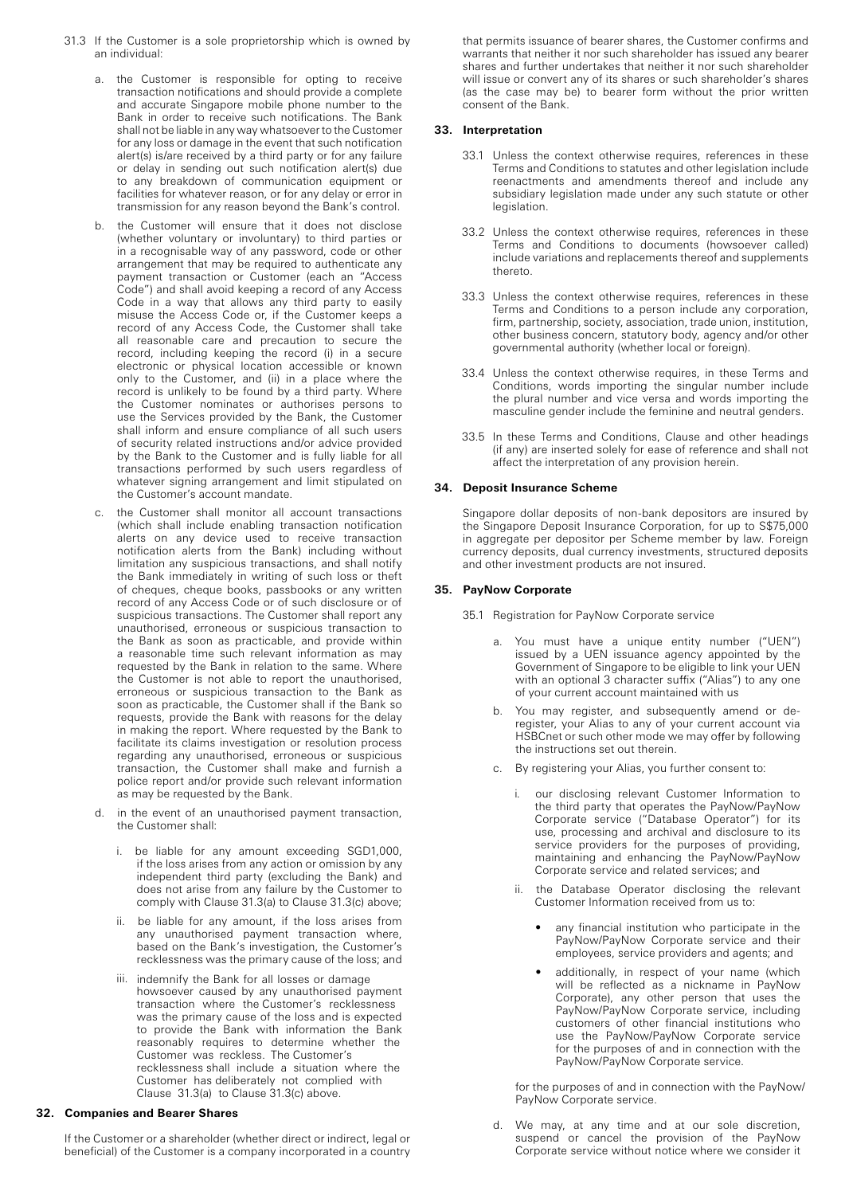- 31.3 If the Customer is a sole proprietorship which is owned by an individual:
	- a. the Customer is responsible for opting to receive transaction notifications and should provide a complete and accurate Singapore mobile phone number to the Bank in order to receive such notifications. The Bank shall not be liable in any way whatsoever to the Customer for any loss or damage in the event that such notification alert(s) is/are received by a third party or for any failure or delay in sending out such notification alert(s) due to any breakdown of communication equipment or facilities for whatever reason, or for any delay or error in transmission for any reason beyond the Bank's control.
	- b. the Customer will ensure that it does not disclose (whether voluntary or involuntary) to third parties or in a recognisable way of any password, code or other arrangement that may be required to authenticate any payment transaction or Customer (each an "Access Code") and shall avoid keeping a record of any Access Code in a way that allows any third party to easily misuse the Access Code or, if the Customer keeps a record of any Access Code, the Customer shall take all reasonable care and precaution to secure the record, including keeping the record (i) in a secure electronic or physical location accessible or known only to the Customer, and (ii) in a place where the record is unlikely to be found by a third party. Where the Customer nominates or authorises persons to use the Services provided by the Bank, the Customer shall inform and ensure compliance of all such users of security related instructions and/or advice provided by the Bank to the Customer and is fully liable for all transactions performed by such users regardless of whatever signing arrangement and limit stipulated on the Customer's account mandate.
	- c. the Customer shall monitor all account transactions (which shall include enabling transaction notification alerts on any device used to receive transaction notification alerts from the Bank) including without limitation any suspicious transactions, and shall notify the Bank immediately in writing of such loss or theft of cheques, cheque books, passbooks or any written record of any Access Code or of such disclosure or of suspicious transactions. The Customer shall report any unauthorised, erroneous or suspicious transaction to the Bank as soon as practicable, and provide within a reasonable time such relevant information as may requested by the Bank in relation to the same. Where the Customer is not able to report the unauthorised, erroneous or suspicious transaction to the Bank as soon as practicable, the Customer shall if the Bank so requests, provide the Bank with reasons for the delay in making the report. Where requested by the Bank to facilitate its claims investigation or resolution process regarding any unauthorised, erroneous or suspicious transaction, the Customer shall make and furnish a police report and/or provide such relevant information as may be requested by the Bank.
	- d. in the event of an unauthorised payment transaction, the Customer shall:
		- i. be liable for any amount exceeding SGD1,000, if the loss arises from any action or omission by any independent third party (excluding the Bank) and does not arise from any failure by the Customer to comply with Clause 31.3(a) to Clause 31.3(c) above;
		- ii. be liable for any amount, if the loss arises from any unauthorised payment transaction where, based on the Bank's investigation, the Customer's recklessness was the primary cause of the loss; and
		- iii. indemnify the Bank for all losses or damage howsoever caused by any unauthorised payment transaction where the Customer's recklessnes s was the primary cause of the loss and is expected to provide the Bank with information the Bank reasonably requires to determine whether the Customer was reckless. The Customer's recklessness shall include a situation where the Customer has deliberately not complied with Clause 31.3(a) to Clause 31.3(c) above.

## **32. Companies and Bearer Shares**

If the Customer or a shareholder (whether direct or indirect, legal or beneficial) of the Customer is a company incorporated in a country that permits issuance of bearer shares, the Customer confirms and warrants that neither it nor such shareholder has issued any bearer shares and further undertakes that neither it nor such shareholder will issue or convert any of its shares or such shareholder's shares (as the case may be) to bearer form without the prior written consent of the Bank.

## **33. Interpretation**

- 33.1 Unless the context otherwise requires, references in these Terms and Conditions to statutes and other legislation include reenactments and amendments thereof and include any subsidiary legislation made under any such statute or other legislation.
- 33.2 Unless the context otherwise requires, references in these Terms and Conditions to documents (howsoever called) include variations and replacements thereof and supplements thereto.
- 33.3 Unless the context otherwise requires, references in these Terms and Conditions to a person include any corporation, firm, partnership, society, association, trade union, institution, other business concern, statutory body, agency and/or other governmental authority (whether local or foreign).
- 33.4 Unless the context otherwise requires, in these Terms and Conditions, words importing the singular number include the plural number and vice versa and words importing the masculine gender include the feminine and neutral genders.
- 33.5 In these Terms and Conditions, Clause and other headings (if any) are inserted solely for ease of reference and shall not affect the interpretation of any provision herein.

#### **34. Deposit Insurance Scheme**

Singapore dollar deposits of non-bank depositors are insured by the Singapore Deposit Insurance Corporation, for up to S\$75,000 in aggregate per depositor per Scheme member by law. Foreign currency deposits, dual currency investments, structured deposits and other investment products are not insured.

## **35. PayNow Corporate**

35.1 Registration for PayNow Corporate service

- a. You must have a unique entity number ("UEN") issued by a UEN issuance agency appointed by the Government of Singapore to be eligible to link your UEN with an optional 3 character suffix ("Alias") to any one of your current account maintained with us
- b. You may register, and subsequently amend or deregister, your Alias to any of your current account via HSBCnet or such other mode we may offer by following the instructions set out therein.
- c. By registering your Alias, you further consent to:
	- our disclosing relevant Customer Information to the third party that operates the PayNow/PayNow Corporate service ("Database Operator") for its use, processing and archival and disclosure to its service providers for the purposes of providing, maintaining and enhancing the PayNow/PayNow Corporate service and related services; and
	- ii. the Database Operator disclosing the relevant Customer Information received from us to:
		- any financial institution who participate in the PayNow/PayNow Corporate service and their employees, service providers and agents; and
		- additionally, in respect of your name (which will be reflected as a nickname in PayNow Corporate), any other person that uses the PayNow/PayNow Corporate service, including customers of other financial institutions who use the PayNow/PayNow Corporate service for the purposes of and in connection with the PayNow/PayNow Corporate service.

for the purposes of and in connection with the PayNow/ PayNow Corporate service.

d. We may, at any time and at our sole discretion, suspend or cancel the provision of the PayNow Corporate service without notice where we consider it